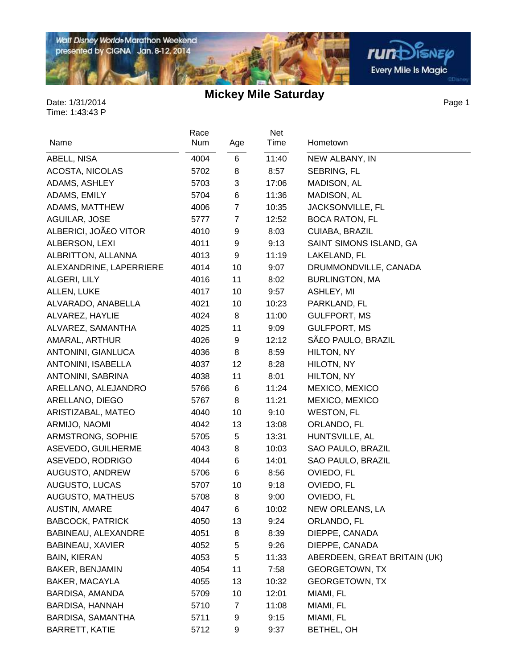

在

**rum**Disnep Every Mile Is Magic

Page 1

| Name                    | Race<br>Num | Age            | Net<br>Time | Hometown                     |
|-------------------------|-------------|----------------|-------------|------------------------------|
| ABELL, NISA             | 4004        | 6              | 11:40       | NEW ALBANY, IN               |
| ACOSTA, NICOLAS         | 5702        | 8              | 8:57        | SEBRING, FL                  |
| ADAMS, ASHLEY           | 5703        | 3              | 17:06       | MADISON, AL                  |
| ADAMS, EMILY            | 5704        | 6              | 11:36       | MADISON, AL                  |
| ADAMS, MATTHEW          | 4006        | $\overline{7}$ | 10:35       | JACKSONVILLE, FL             |
| AGUILAR, JOSE           | 5777        | $\overline{7}$ | 12:52       | <b>BOCA RATON, FL</b>        |
| ALBERICI, JOãO VITOR    | 4010        | 9              | 8:03        | CUIABA, BRAZIL               |
| ALBERSON, LEXI          | 4011        | 9              | 9:13        | SAINT SIMONS ISLAND, GA      |
| ALBRITTON, ALLANNA      | 4013        | 9              | 11:19       | LAKELAND, FL                 |
| ALEXANDRINE, LAPERRIERE | 4014        | 10             | 9:07        | DRUMMONDVILLE, CANADA        |
| ALGERI, LILY            | 4016        | 11             | 8:02        | <b>BURLINGTON, MA</b>        |
| ALLEN, LUKE             | 4017        | 10             | 9:57        | ASHLEY, MI                   |
| ALVARADO, ANABELLA      | 4021        | 10             | 10:23       | PARKLAND, FL                 |
| ALVAREZ, HAYLIE         | 4024        | 8              | 11:00       | <b>GULFPORT, MS</b>          |
| ALVAREZ, SAMANTHA       | 4025        | 11             | 9:09        | <b>GULFPORT, MS</b>          |
| AMARAL, ARTHUR          | 4026        | 9              | 12:12       | SãO PAULO, BRAZIL            |
| ANTONINI, GIANLUCA      | 4036        | 8              | 8:59        | HILTON, NY                   |
| ANTONINI, ISABELLA      | 4037        | 12             | 8:28        | HILOTN, NY                   |
| ANTONINI, SABRINA       | 4038        | 11             | 8:01        | HILTON, NY                   |
| ARELLANO, ALEJANDRO     | 5766        | 6              | 11:24       | MEXICO, MEXICO               |
| ARELLANO, DIEGO         | 5767        | 8              | 11:21       | MEXICO, MEXICO               |
| ARISTIZABAL, MATEO      | 4040        | 10             | 9:10        | <b>WESTON, FL</b>            |
| ARMIJO, NAOMI           | 4042        | 13             | 13:08       | ORLANDO, FL                  |
| ARMSTRONG, SOPHIE       | 5705        | 5              | 13:31       | HUNTSVILLE, AL               |
| ASEVEDO, GUILHERME      | 4043        | 8              | 10:03       | SAO PAULO, BRAZIL            |
| ASEVEDO, RODRIGO        | 4044        | 6              | 14:01       | SAO PAULO, BRAZIL            |
| AUGUSTO, ANDREW         | 5706        | 6              | 8:56        | OVIEDO, FL                   |
| AUGUSTO, LUCAS          | 5707        | 10             | 9:18        | OVIEDO, FL                   |
| AUGUSTO, MATHEUS        | 5708        | 8              | 9:00        | OVIEDO, FL                   |
| <b>AUSTIN, AMARE</b>    | 4047        | 6              | 10:02       | NEW ORLEANS, LA              |
| <b>BABCOCK, PATRICK</b> | 4050        | 13             | 9:24        | ORLANDO, FL                  |
| BABINEAU, ALEXANDRE     | 4051        | 8              | 8:39        | DIEPPE, CANADA               |
| BABINEAU, XAVIER        | 4052        | 5              | 9:26        | DIEPPE, CANADA               |
| <b>BAIN, KIERAN</b>     | 4053        | 5              | 11:33       | ABERDEEN, GREAT BRITAIN (UK) |
| <b>BAKER, BENJAMIN</b>  | 4054        | 11             | 7:58        | <b>GEORGETOWN, TX</b>        |
| <b>BAKER, MACAYLA</b>   | 4055        | 13             | 10:32       | <b>GEORGETOWN, TX</b>        |
| BARDISA, AMANDA         | 5709        | 10             | 12:01       | MIAMI, FL                    |
| BARDISA, HANNAH         | 5710        | 7              | 11:08       | MIAMI, FL                    |
| BARDISA, SAMANTHA       | 5711        | 9              | 9:15        | MIAMI, FL                    |
| <b>BARRETT, KATIE</b>   | 5712        | 9              | 9:37        | BETHEL, OH                   |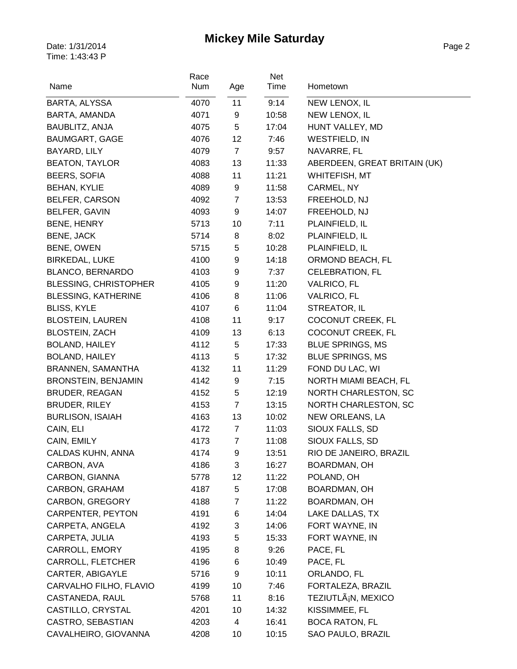| Name                         | Race<br>Num | Age            | Net<br>Time | Hometown                     |
|------------------------------|-------------|----------------|-------------|------------------------------|
| BARTA, ALYSSA                | 4070        | 11             | 9:14        | NEW LENOX, IL                |
| BARTA, AMANDA                | 4071        | 9              | 10:58       | NEW LENOX, IL                |
| <b>BAUBLITZ, ANJA</b>        | 4075        | 5              | 17:04       | HUNT VALLEY, MD              |
| BAUMGART, GAGE               | 4076        | 12             | 7:46        | <b>WESTFIELD, IN</b>         |
| BAYARD, LILY                 | 4079        | $\overline{7}$ | 9:57        | NAVARRE, FL                  |
| <b>BEATON, TAYLOR</b>        | 4083        | 13             | 11:33       | ABERDEEN, GREAT BRITAIN (UK) |
| <b>BEERS, SOFIA</b>          | 4088        | 11             | 11:21       | WHITEFISH, MT                |
| <b>BEHAN, KYLIE</b>          | 4089        | 9              | 11:58       | CARMEL, NY                   |
| BELFER, CARSON               | 4092        | $\overline{7}$ | 13:53       | FREEHOLD, NJ                 |
| BELFER, GAVIN                | 4093        | 9              | 14:07       | FREEHOLD, NJ                 |
| BENE, HENRY                  | 5713        | 10             | 7:11        | PLAINFIELD, IL               |
| <b>BENE, JACK</b>            | 5714        | 8              | 8:02        | PLAINFIELD, IL               |
| BENE, OWEN                   | 5715        | 5              | 10:28       | PLAINFIELD, IL               |
| <b>BIRKEDAL, LUKE</b>        | 4100        | 9              | 14:18       | ORMOND BEACH, FL             |
| <b>BLANCO, BERNARDO</b>      | 4103        | 9              | 7:37        | <b>CELEBRATION, FL</b>       |
| <b>BLESSING, CHRISTOPHER</b> | 4105        | 9              | 11:20       | <b>VALRICO, FL</b>           |
| <b>BLESSING, KATHERINE</b>   | 4106        | 8              | 11:06       | <b>VALRICO, FL</b>           |
| <b>BLISS, KYLE</b>           | 4107        | 6              | 11:04       | STREATOR, IL                 |
| <b>BLOSTEIN, LAUREN</b>      | 4108        | 11             | 9:17        | COCONUT CREEK, FL            |
| <b>BLOSTEIN, ZACH</b>        | 4109        | 13             | 6:13        | COCONUT CREEK, FL            |
| <b>BOLAND, HAILEY</b>        | 4112        | 5              | 17:33       | <b>BLUE SPRINGS, MS</b>      |
| <b>BOLAND, HAILEY</b>        | 4113        | 5              | 17:32       | <b>BLUE SPRINGS, MS</b>      |
| BRANNEN, SAMANTHA            | 4132        | 11             | 11:29       | FOND DU LAC, WI              |
| <b>BRONSTEIN, BENJAMIN</b>   | 4142        | 9              | 7:15        | NORTH MIAMI BEACH, FL        |
| <b>BRUDER, REAGAN</b>        | 4152        | 5              | 12:19       | NORTH CHARLESTON, SC         |
| <b>BRUDER, RILEY</b>         | 4153        | $\overline{7}$ | 13:15       | NORTH CHARLESTON, SC         |
| <b>BURLISON, ISAIAH</b>      | 4163        | 13             | 10:02       | NEW ORLEANS, LA              |
| CAIN, ELI                    | 4172        | $\overline{7}$ | 11:03       | SIOUX FALLS, SD              |
| CAIN, EMILY                  | 4173        | $\overline{7}$ | 11:08       | SIOUX FALLS, SD              |
| CALDAS KUHN, ANNA            | 4174        | 9              | 13:51       | RIO DE JANEIRO, BRAZIL       |
| CARBON, AVA                  | 4186        | 3              | 16:27       | BOARDMAN, OH                 |
| CARBON, GIANNA               | 5778        | 12             | 11:22       | POLAND, OH                   |
| CARBON, GRAHAM               | 4187        | 5              | 17:08       | BOARDMAN, OH                 |
| <b>CARBON, GREGORY</b>       | 4188        | $\overline{7}$ | 11:22       | BOARDMAN, OH                 |
| CARPENTER, PEYTON            | 4191        | 6              | 14:04       | LAKE DALLAS, TX              |
| CARPETA, ANGELA              | 4192        | 3              | 14:06       | FORT WAYNE, IN               |
| CARPETA, JULIA               | 4193        | 5              | 15:33       | FORT WAYNE, IN               |
| CARROLL, EMORY               | 4195        | 8              | 9:26        | PACE, FL                     |
| CARROLL, FLETCHER            | 4196        | 6              | 10:49       | PACE, FL                     |
| CARTER, ABIGAYLE             | 5716        | 9              | 10:11       | ORLANDO, FL                  |
| CARVALHO FILHO, FLAVIO       | 4199        | 10             | 7:46        | FORTALEZA, BRAZIL            |
| CASTANEDA, RAUL              | 5768        | 11             | 8:16        | TEZIUTLġN, MEXICO            |
| CASTILLO, CRYSTAL            | 4201        | 10             | 14:32       | KISSIMMEE, FL                |
| CASTRO, SEBASTIAN            | 4203        | 4              | 16:41       | <b>BOCA RATON, FL</b>        |
| CAVALHEIRO, GIOVANNA         | 4208        | 10             | 10:15       | SAO PAULO, BRAZIL            |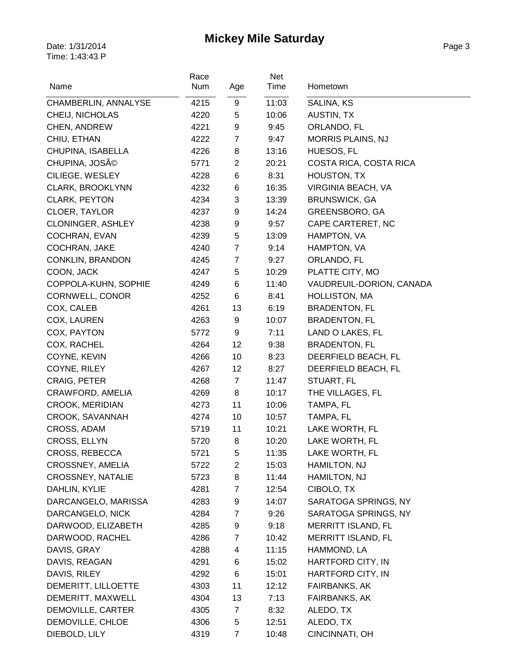| Name                     | Race<br>Num | Age            | Net<br>Time | Hometown                 |
|--------------------------|-------------|----------------|-------------|--------------------------|
| CHAMBERLIN, ANNALYSE     | 4215        | 9              | 11:03       | SALINA, KS               |
| CHEIJ, NICHOLAS          | 4220        | 5              | 10:06       | <b>AUSTIN, TX</b>        |
| CHEN, ANDREW             | 4221        | 9              | 9:45        | ORLANDO, FL              |
| CHIU, ETHAN              | 4222        | 7              | 9:47        | <b>MORRIS PLAINS, NJ</b> |
| CHUPINA, ISABELLA        | 4226        | 8              | 13:16       | HUESOS, FL               |
| CHUPINA, JOSÃO           | 5771        | $\overline{2}$ | 20:21       | COSTA RICA, COSTA RICA   |
| CILIEGE, WESLEY          | 4228        | 6              | 8:31        | <b>HOUSTON, TX</b>       |
| <b>CLARK, BROOKLYNN</b>  | 4232        | 6              | 16:35       | VIRGINIA BEACH, VA       |
| <b>CLARK, PEYTON</b>     | 4234        | 3              | 13:39       | <b>BRUNSWICK, GA</b>     |
| CLOER, TAYLOR            | 4237        | 9              | 14:24       | GREENSBORO, GA           |
| <b>CLONINGER, ASHLEY</b> | 4238        | 9              | 9:57        | CAPE CARTERET, NC        |
| COCHRAN, EVAN            | 4239        | 5              | 13:09       | HAMPTON, VA              |
| COCHRAN, JAKE            | 4240        | $\overline{7}$ | 9:14        | HAMPTON, VA              |
| CONKLIN, BRANDON         | 4245        | $\overline{7}$ | 9:27        | ORLANDO, FL              |
| COON, JACK               | 4247        | 5              | 10:29       | PLATTE CITY, MO          |
| COPPOLA-KUHN, SOPHIE     | 4249        | 6              | 11:40       | VAUDREUIL-DORION, CANADA |
| CORNWELL, CONOR          | 4252        | 6              | 8:41        | HOLLISTON, MA            |
| COX, CALEB               | 4261        | 13             | 6:19        | <b>BRADENTON, FL</b>     |
| COX, LAUREN              | 4263        | 9              | 10:07       | <b>BRADENTON, FL</b>     |
| COX, PAYTON              | 5772        | 9              | 7:11        | LAND O LAKES, FL         |
| COX, RACHEL              | 4264        | 12             | 9:38        | <b>BRADENTON, FL</b>     |
| COYNE, KEVIN             | 4266        | 10             | 8:23        | DEERFIELD BEACH, FL      |
| COYNE, RILEY             | 4267        | 12             | 8:27        | DEERFIELD BEACH, FL      |
| <b>CRAIG, PETER</b>      | 4268        | $\overline{7}$ | 11:47       | STUART, FL               |
| CRAWFORD, AMELIA         | 4269        | 8              | 10:17       | THE VILLAGES, FL         |
| CROOK, MERIDIAN          | 4273        | 11             | 10:06       | TAMPA, FL                |
| CROOK, SAVANNAH          | 4274        | 10             | 10:57       | TAMPA, FL                |
| CROSS, ADAM              | 5719        | 11             | 10:21       | LAKE WORTH, FL           |
| CROSS, ELLYN             | 5720        | 8              | 10:20       | LAKE WORTH, FL           |
| CROSS, REBECCA           | 5721        | 5              | 11:35       | LAKE WORTH, FL           |
| CROSSNEY, AMELIA         | 5722        | $\overline{2}$ | 15:03       | HAMILTON, NJ             |
| <b>CROSSNEY, NATALIE</b> | 5723        | 8              | 11:44       | HAMILTON, NJ             |
| DAHLIN, KYLIE            | 4281        | $\overline{7}$ | 12:54       | CIBOLO, TX               |
| DARCANGELO, MARISSA      | 4283        | 9              | 14:07       | SARATOGA SPRINGS, NY     |
| DARCANGELO, NICK         | 4284        | $\overline{7}$ | 9:26        | SARATOGA SPRINGS, NY     |
| DARWOOD, ELIZABETH       | 4285        | 9              | 9:18        | MERRITT ISLAND, FL       |
| DARWOOD, RACHEL          | 4286        | $\overline{7}$ | 10:42       | MERRITT ISLAND, FL       |
| DAVIS, GRAY              | 4288        | 4              | 11:15       | HAMMOND, LA              |
| DAVIS, REAGAN            | 4291        | 6              | 15:02       | HARTFORD CITY, IN        |
| DAVIS, RILEY             | 4292        | 6              | 15:01       | HARTFORD CITY, IN        |
| DEMERITT, LILLOETTE      | 4303        | 11             | 12:12       | <b>FAIRBANKS, AK</b>     |
| DEMERITT, MAXWELL        | 4304        | 13             | 7:13        | FAIRBANKS, AK            |
| DEMOVILLE, CARTER        | 4305        | 7              | 8:32        | ALEDO, TX                |
| DEMOVILLE, CHLOE         | 4306        | 5              | 12:51       | ALEDO, TX                |
| DIEBOLD, LILY            | 4319        | $\overline{7}$ | 10:48       | CINCINNATI, OH           |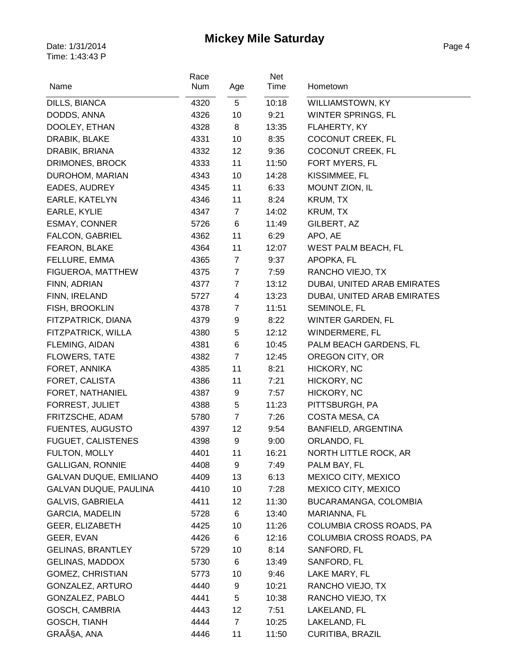| Name                          | Race<br>Num  | Age            | Net<br>Time | Hometown                          |
|-------------------------------|--------------|----------------|-------------|-----------------------------------|
| DILLS, BIANCA                 | 4320         | 5              | 10:18       | <b>WILLIAMSTOWN, KY</b>           |
| DODDS, ANNA                   | 4326         | 10             | 9:21        | WINTER SPRINGS, FL                |
| DOOLEY, ETHAN                 | 4328         | 8              | 13:35       | FLAHERTY, KY                      |
| DRABIK, BLAKE                 | 4331         | 10             | 8:35        | COCONUT CREEK, FL                 |
| DRABIK, BRIANA                | 4332         | 12             | 9:36        | COCONUT CREEK, FL                 |
| DRIMONES, BROCK               | 4333         | 11             | 11:50       | FORT MYERS, FL                    |
| DUROHOM, MARIAN               | 4343         | 10             | 14:28       | KISSIMMEE, FL                     |
| EADES, AUDREY                 | 4345         | 11             | 6:33        | MOUNT ZION, IL                    |
| EARLE, KATELYN                | 4346         | 11             | 8:24        | KRUM, TX                          |
| EARLE, KYLIE                  | 4347         | $\overline{7}$ | 14:02       | KRUM, TX                          |
| <b>ESMAY, CONNER</b>          | 5726         | 6              | 11:49       | GILBERT, AZ                       |
| <b>FALCON, GABRIEL</b>        | 4362         | 11             | 6:29        | APO, AE                           |
|                               |              | 11             |             |                                   |
| FEARON, BLAKE                 | 4364<br>4365 |                | 12:07       | WEST PALM BEACH, FL<br>APOPKA, FL |
| FELLURE, EMMA                 |              | 7              | 9:37        |                                   |
| FIGUEROA, MATTHEW             | 4375         | $\overline{7}$ | 7:59        | RANCHO VIEJO, TX                  |
| FINN, ADRIAN                  | 4377         | $\overline{7}$ | 13:12       | DUBAI, UNITED ARAB EMIRATES       |
| FINN, IRELAND                 | 5727         | 4              | 13:23       | DUBAI, UNITED ARAB EMIRATES       |
| FISH, BROOKLIN                | 4378         | $\overline{7}$ | 11:51       | SEMINOLE, FL                      |
| FITZPATRICK, DIANA            | 4379         | 9              | 8:22        | WINTER GARDEN, FL                 |
| FITZPATRICK, WILLA            | 4380         | 5              | 12:12       | WINDERMERE, FL                    |
| FLEMING, AIDAN                | 4381         | 6              | 10:45       | PALM BEACH GARDENS, FL            |
| <b>FLOWERS, TATE</b>          | 4382         | $\overline{7}$ | 12:45       | OREGON CITY, OR                   |
| FORET, ANNIKA                 | 4385         | 11             | 8:21        | HICKORY, NC                       |
| FORET, CALISTA                | 4386         | 11             | 7:21        | HICKORY, NC                       |
| FORET, NATHANIEL              | 4387         | 9              | 7:57        | HICKORY, NC                       |
| FORREST, JULIET               | 4388         | 5              | 11:23       | PITTSBURGH, PA                    |
| FRITZSCHE, ADAM               | 5780         | $\overline{7}$ | 7:26        | COSTA MESA, CA                    |
| <b>FUENTES, AUGUSTO</b>       | 4397         | 12             | 9:54        | BANFIELD, ARGENTINA               |
| <b>FUGUET, CALISTENES</b>     | 4398         | 9              | 9:00        | ORLANDO, FL                       |
| FULTON, MOLLY                 | 4401         | 11             | 16:21       | NORTH LITTLE ROCK, AR             |
| <b>GALLIGAN, RONNIE</b>       | 4408         | 9              | 7:49        | PALM BAY, FL                      |
| <b>GALVAN DUQUE, EMILIANO</b> | 4409         | 13             | 6:13        | MEXICO CITY, MEXICO               |
| GALVAN DUQUE, PAULINA         | 4410         | 10             | 7:28        | MEXICO CITY, MEXICO               |
| <b>GALVIS, GABRIELA</b>       | 4411         | 12             | 11:30       | BUCARAMANGA, COLOMBIA             |
| <b>GARCIA, MADELIN</b>        | 5728         | 6              | 13:40       | MARIANNA, FL                      |
| GEER, ELIZABETH               | 4425         | 10             | 11:26       | COLUMBIA CROSS ROADS, PA          |
| GEER, EVAN                    | 4426         | 6              | 12:16       | COLUMBIA CROSS ROADS, PA          |
| <b>GELINAS, BRANTLEY</b>      | 5729         | 10             | 8:14        | SANFORD, FL                       |
| <b>GELINAS, MADDOX</b>        | 5730         | 6              | 13:49       | SANFORD, FL                       |
| <b>GOMEZ, CHRISTIAN</b>       | 5773         | 10             | 9:46        | LAKE MARY, FL                     |
| GONZALEZ, ARTURO              | 4440         | 9              | 10:21       | RANCHO VIEJO, TX                  |
| GONZALEZ, PABLO               | 4441         | 5              | 10:38       | RANCHO VIEJO, TX                  |
| GOSCH, CAMBRIA                | 4443         | 12             | 7:51        | LAKELAND, FL                      |
| GOSCH, TIANH                  | 4444         | $\overline{7}$ | 10:25       | LAKELAND, FL                      |
| GRAçA, ANA                    | 4446         | 11             | 11:50       | <b>CURITIBA, BRAZIL</b>           |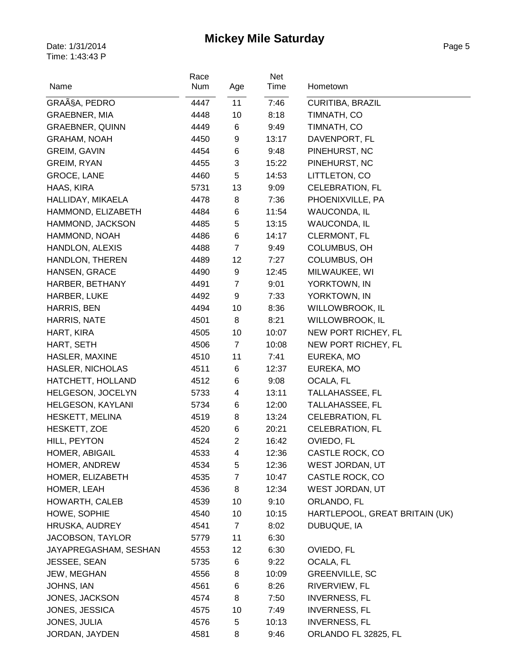| Name                    | Race<br>Num | Age            | Net<br>Time | Hometown                       |
|-------------------------|-------------|----------------|-------------|--------------------------------|
|                         |             |                |             |                                |
| GRAçA, PEDRO            | 4447        | 11             | 7:46        | <b>CURITIBA, BRAZIL</b>        |
| <b>GRAEBNER, MIA</b>    | 4448        | 10             | 8:18        | TIMNATH, CO                    |
| <b>GRAEBNER, QUINN</b>  | 4449        | 6              | 9:49        | TIMNATH, CO                    |
| <b>GRAHAM, NOAH</b>     | 4450        | 9              | 13:17       | DAVENPORT, FL                  |
| <b>GREIM, GAVIN</b>     | 4454        | 6              | 9:48        | PINEHURST, NC                  |
| <b>GREIM, RYAN</b>      | 4455        | 3              | 15:22       | PINEHURST, NC                  |
| GROCE, LANE             | 4460        | 5              | 14:53       | LITTLETON, CO                  |
| HAAS, KIRA              | 5731        | 13             | 9:09        | <b>CELEBRATION, FL</b>         |
| HALLIDAY, MIKAELA       | 4478        | 8              | 7:36        | PHOENIXVILLE, PA               |
| HAMMOND, ELIZABETH      | 4484        | 6              | 11:54       | <b>WAUCONDA, IL</b>            |
| HAMMOND, JACKSON        | 4485        | 5              | 13:15       | <b>WAUCONDA, IL</b>            |
| HAMMOND, NOAH           | 4486        | 6              | 14:17       | CLERMONT, FL                   |
| HANDLON, ALEXIS         | 4488        | $\overline{7}$ | 9:49        | COLUMBUS, OH                   |
| HANDLON, THEREN         | 4489        | 12             | 7:27        | COLUMBUS, OH                   |
| HANSEN, GRACE           | 4490        | 9              | 12:45       | MILWAUKEE, WI                  |
| HARBER, BETHANY         | 4491        | $\overline{7}$ | 9:01        | YORKTOWN, IN                   |
| HARBER, LUKE            | 4492        | 9              | 7:33        | YORKTOWN, IN                   |
| HARRIS, BEN             | 4494        | 10             | 8:36        | <b>WILLOWBROOK, IL</b>         |
| HARRIS, NATE            | 4501        | 8              | 8:21        | <b>WILLOWBROOK, IL</b>         |
| HART, KIRA              | 4505        | 10             | 10:07       | NEW PORT RICHEY, FL            |
| HART, SETH              | 4506        | $\overline{7}$ | 10:08       | NEW PORT RICHEY, FL            |
| HASLER, MAXINE          | 4510        | 11             | 7:41        | EUREKA, MO                     |
| <b>HASLER, NICHOLAS</b> | 4511        | 6              | 12:37       | EUREKA, MO                     |
| HATCHETT, HOLLAND       | 4512        | 6              | 9:08        | OCALA, FL                      |
| HELGESON, JOCELYN       | 5733        | 4              | 13:11       | TALLAHASSEE, FL                |
| HELGESON, KAYLANI       | 5734        | 6              | 12:00       | TALLAHASSEE, FL                |
| HESKETT, MELINA         | 4519        | 8              | 13:24       | <b>CELEBRATION, FL</b>         |
| HESKETT, ZOE            | 4520        | 6              | 20:21       | <b>CELEBRATION, FL</b>         |
| HILL, PEYTON            | 4524        | $\overline{2}$ | 16:42       | OVIEDO, FL                     |
| HOMER, ABIGAIL          | 4533        | 4              | 12:36       | CASTLE ROCK, CO                |
| HOMER, ANDREW           | 4534        | 5              | 12:36       | WEST JORDAN, UT                |
| HOMER, ELIZABETH        | 4535        | $\overline{7}$ | 10:47       | CASTLE ROCK, CO                |
| HOMER, LEAH             | 4536        | 8              | 12:34       | <b>WEST JORDAN, UT</b>         |
| HOWARTH, CALEB          | 4539        | 10             | 9:10        | ORLANDO, FL                    |
| HOWE, SOPHIE            | 4540        | 10             | 10:15       | HARTLEPOOL, GREAT BRITAIN (UK) |
| HRUSKA, AUDREY          | 4541        | $\overline{7}$ | 8:02        | DUBUQUE, IA                    |
| JACOBSON, TAYLOR        | 5779        | 11             | 6:30        |                                |
| JAYAPREGASHAM, SESHAN   | 4553        | 12             | 6:30        | OVIEDO, FL                     |
| JESSEE, SEAN            | 5735        | 6              | 9:22        | OCALA, FL                      |
| JEW, MEGHAN             | 4556        | 8              | 10:09       | <b>GREENVILLE, SC</b>          |
| JOHNS, IAN              | 4561        | 6              | 8:26        | RIVERVIEW, FL                  |
| JONES, JACKSON          | 4574        | 8              | 7:50        | <b>INVERNESS, FL</b>           |
| JONES, JESSICA          | 4575        | 10             | 7:49        | <b>INVERNESS, FL</b>           |
| JONES, JULIA            | 4576        | 5              | 10:13       | <b>INVERNESS, FL</b>           |
| JORDAN, JAYDEN          | 4581        | 8              | 9:46        | ORLANDO FL 32825, FL           |
|                         |             |                |             |                                |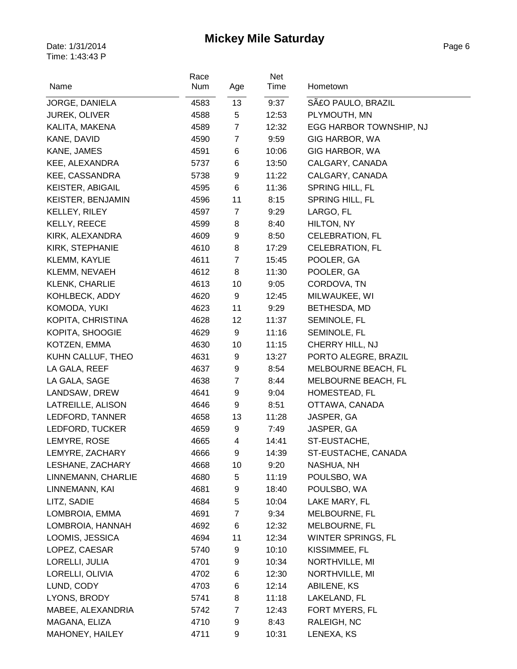| Name                    | Race<br>Num | Age            | Net<br>Time | Hometown                |
|-------------------------|-------------|----------------|-------------|-------------------------|
| JORGE, DANIELA          | 4583        | 13             | 9:37        | SAŁO PAULO, BRAZIL      |
| <b>JUREK, OLIVER</b>    | 4588        | 5              | 12:53       | PLYMOUTH, MN            |
| KALITA, MAKENA          | 4589        | $\overline{7}$ | 12:32       | EGG HARBOR TOWNSHIP, NJ |
| KANE, DAVID             | 4590        | $\overline{7}$ | 9:59        | GIG HARBOR, WA          |
| KANE, JAMES             | 4591        | 6              | 10:06       | GIG HARBOR, WA          |
| KEE, ALEXANDRA          | 5737        | 6              | 13:50       | CALGARY, CANADA         |
| <b>KEE, CASSANDRA</b>   | 5738        | 9              | 11:22       | CALGARY, CANADA         |
| <b>KEISTER, ABIGAIL</b> | 4595        | 6              | 11:36       | SPRING HILL, FL         |
| KEISTER, BENJAMIN       | 4596        | 11             | 8:15        | <b>SPRING HILL, FL</b>  |
| KELLEY, RILEY           | 4597        | 7              | 9:29        | LARGO, FL               |
| KELLY, REECE            | 4599        | 8              | 8:40        | HILTON, NY              |
| KIRK, ALEXANDRA         | 4609        | 9              | 8:50        | <b>CELEBRATION, FL</b>  |
| KIRK, STEPHANIE         | 4610        | 8              | 17:29       | <b>CELEBRATION, FL</b>  |
| KLEMM, KAYLIE           | 4611        | $\overline{7}$ | 15:45       | POOLER, GA              |
| KLEMM, NEVAEH           | 4612        | 8              | 11:30       | POOLER, GA              |
| KLENK, CHARLIE          | 4613        | 10             | 9:05        | CORDOVA, TN             |
| KOHLBECK, ADDY          | 4620        | 9              | 12:45       | MILWAUKEE, WI           |
| KOMODA, YUKI            | 4623        | 11             | 9:29        | BETHESDA, MD            |
| KOPITA, CHRISTINA       | 4628        | 12             | 11:37       | SEMINOLE, FL            |
| KOPITA, SHOOGIE         | 4629        | 9              | 11:16       | SEMINOLE, FL            |
| KOTZEN, EMMA            | 4630        | 10             | 11:15       | CHERRY HILL, NJ         |
| KUHN CALLUF, THEO       | 4631        | 9              | 13:27       | PORTO ALEGRE, BRAZIL    |
| LA GALA, REEF           | 4637        | 9              | 8:54        | MELBOURNE BEACH, FL     |
| LA GALA, SAGE           | 4638        | $\overline{7}$ | 8:44        | MELBOURNE BEACH, FL     |
| LANDSAW, DREW           | 4641        | 9              | 9:04        | HOMESTEAD, FL           |
| LATREILLE, ALISON       | 4646        | 9              | 8:51        | OTTAWA, CANADA          |
| LEDFORD, TANNER         | 4658        | 13             | 11:28       | JASPER, GA              |
| LEDFORD, TUCKER         | 4659        | 9              | 7:49        | JASPER, GA              |
| LEMYRE, ROSE            | 4665        | 4              | 14:41       | ST-EUSTACHE,            |
| LEMYRE, ZACHARY         | 4666        | 9              | 14:39       | ST-EUSTACHE, CANADA     |
| LESHANE, ZACHARY        | 4668        | 10             | 9:20        | NASHUA, NH              |
| LINNEMANN, CHARLIE      | 4680        | 5              | 11:19       | POULSBO, WA             |
| LINNEMANN, KAI          | 4681        | 9              | 18:40       | POULSBO, WA             |
| LITZ, SADIE             | 4684        | 5              | 10:04       | LAKE MARY, FL           |
| LOMBROIA, EMMA          | 4691        | $\overline{7}$ | 9:34        | MELBOURNE, FL           |
| LOMBROIA, HANNAH        | 4692        | 6              | 12:32       | MELBOURNE, FL           |
| LOOMIS, JESSICA         | 4694        | 11             | 12:34       | WINTER SPRINGS, FL      |
| LOPEZ, CAESAR           | 5740        | 9              | 10:10       | KISSIMMEE, FL           |
| LORELLI, JULIA          | 4701        | 9              | 10:34       | NORTHVILLE, MI          |
| LORELLI, OLIVIA         | 4702        | 6              | 12:30       | NORTHVILLE, MI          |
| LUND, CODY              | 4703        | 6              | 12:14       | ABILENE, KS             |
| LYONS, BRODY            | 5741        | 8              | 11:18       | LAKELAND, FL            |
| MABEE, ALEXANDRIA       | 5742        | $\overline{7}$ | 12:43       | FORT MYERS, FL          |
| MAGANA, ELIZA           | 4710        | 9              | 8:43        | RALEIGH, NC             |
| MAHONEY, HAILEY         | 4711        | 9              | 10:31       | LENEXA, KS              |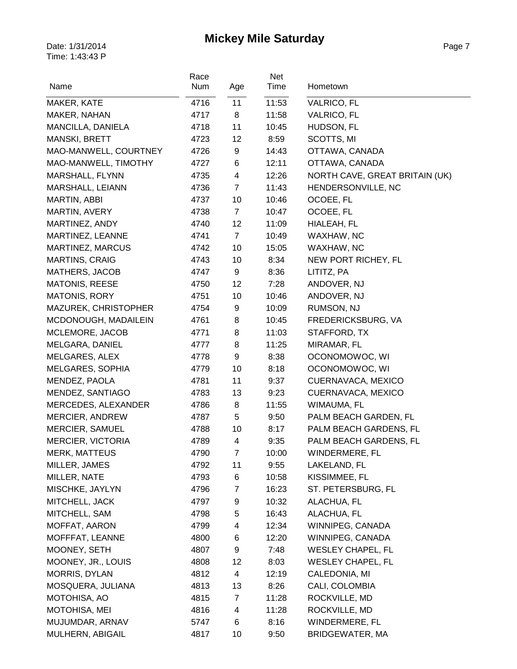| Name                        | Race<br>Num | Age                     | <b>Net</b><br>Time | Hometown                       |
|-----------------------------|-------------|-------------------------|--------------------|--------------------------------|
|                             |             | 11                      |                    |                                |
| MAKER, KATE<br>MAKER, NAHAN | 4716        | 8                       | 11:53<br>11:58     | <b>VALRICO, FL</b>             |
|                             | 4717        |                         |                    | <b>VALRICO, FL</b>             |
| MANCILLA, DANIELA           | 4718        | 11                      | 10:45              | HUDSON, FL                     |
| MANSKI, BRETT               | 4723        | 12                      | 8:59               | SCOTTS, MI                     |
| MAO-MANWELL, COURTNEY       | 4726        | 9                       | 14:43              | OTTAWA, CANADA                 |
| MAO-MANWELL, TIMOTHY        | 4727        | 6                       | 12:11              | OTTAWA, CANADA                 |
| MARSHALL, FLYNN             | 4735        | $\overline{\mathbf{4}}$ | 12:26              | NORTH CAVE, GREAT BRITAIN (UK) |
| MARSHALL, LEIANN            | 4736        | $\overline{7}$          | 11:43              | HENDERSONVILLE, NC             |
| MARTIN, ABBI                | 4737        | 10                      | 10:46              | OCOEE, FL                      |
| MARTIN, AVERY               | 4738        | $\overline{7}$          | 10:47              | OCOEE, FL                      |
| MARTINEZ, ANDY              | 4740        | 12                      | 11:09              | HIALEAH, FL                    |
| MARTINEZ, LEANNE            | 4741        | $\overline{7}$          | 10:49              | WAXHAW, NC                     |
| MARTINEZ, MARCUS            | 4742        | 10                      | 15:05              | WAXHAW, NC                     |
| <b>MARTINS, CRAIG</b>       | 4743        | 10                      | 8:34               | NEW PORT RICHEY, FL            |
| MATHERS, JACOB              | 4747        | 9                       | 8:36               | LITITZ, PA                     |
| <b>MATONIS, REESE</b>       | 4750        | 12                      | 7:28               | ANDOVER, NJ                    |
| <b>MATONIS, RORY</b>        | 4751        | 10                      | 10:46              | ANDOVER, NJ                    |
| MAZUREK, CHRISTOPHER        | 4754        | 9                       | 10:09              | RUMSON, NJ                     |
| MCDONOUGH, MADAILEIN        | 4761        | 8                       | 10:45              | FREDERICKSBURG, VA             |
| MCLEMORE, JACOB             | 4771        | 8                       | 11:03              | STAFFORD, TX                   |
| MELGARA, DANIEL             | 4777        | 8                       | 11:25              | MIRAMAR, FL                    |
| MELGARES, ALEX              | 4778        | 9                       | 8:38               | OCONOMOWOC, WI                 |
| MELGARES, SOPHIA            | 4779        | 10                      | 8:18               | OCONOMOWOC, WI                 |
| MENDEZ, PAOLA               | 4781        | 11                      | 9:37               | CUERNAVACA, MEXICO             |
| MENDEZ, SANTIAGO            | 4783        | 13                      | 9:23               | CUERNAVACA, MEXICO             |
| MERCEDES, ALEXANDER         | 4786        | 8                       | 11:55              | WIMAUMA, FL                    |
| <b>MERCIER, ANDREW</b>      | 4787        | 5                       | 9:50               | PALM BEACH GARDEN, FL          |
| MERCIER, SAMUEL             | 4788        | 10                      | 8:17               | PALM BEACH GARDENS, FL         |
| MERCIER, VICTORIA           | 4789        | 4                       | 9:35               | PALM BEACH GARDENS, FL         |
| <b>MERK, MATTEUS</b>        | 4790        | $\overline{7}$          | 10:00              | WINDERMERE, FL                 |
| MILLER, JAMES               | 4792        | 11                      | 9:55               | LAKELAND, FL                   |
| MILLER, NATE                | 4793        | 6                       | 10:58              | KISSIMMEE, FL                  |
| MISCHKE, JAYLYN             | 4796        | $\overline{7}$          | 16:23              | ST. PETERSBURG, FL             |
| MITCHELL, JACK              | 4797        | 9                       | 10:32              | ALACHUA, FL                    |
| MITCHELL, SAM               | 4798        | 5                       | 16:43              | ALACHUA, FL                    |
| MOFFAT, AARON               | 4799        | $\overline{4}$          | 12:34              | WINNIPEG, CANADA               |
| MOFFFAT, LEANNE             | 4800        | 6                       | 12:20              | WINNIPEG, CANADA               |
| MOONEY, SETH                | 4807        | 9                       | 7:48               | <b>WESLEY CHAPEL, FL</b>       |
| MOONEY, JR., LOUIS          | 4808        | 12                      | 8:03               | <b>WESLEY CHAPEL, FL</b>       |
| <b>MORRIS, DYLAN</b>        | 4812        | $\overline{\mathbf{4}}$ | 12:19              | CALEDONIA, MI                  |
| MOSQUERA, JULIANA           | 4813        | 13                      | 8:26               | CALI, COLOMBIA                 |
| MOTOHISA, AO                | 4815        | 7                       | 11:28              | ROCKVILLE, MD                  |
| MOTOHISA, MEI               | 4816        | 4                       | 11:28              | ROCKVILLE, MD                  |
| MUJUMDAR, ARNAV             | 5747        | 6                       | 8:16               | WINDERMERE, FL                 |
| MULHERN, ABIGAIL            | 4817        | 10                      | 9:50               | BRIDGEWATER, MA                |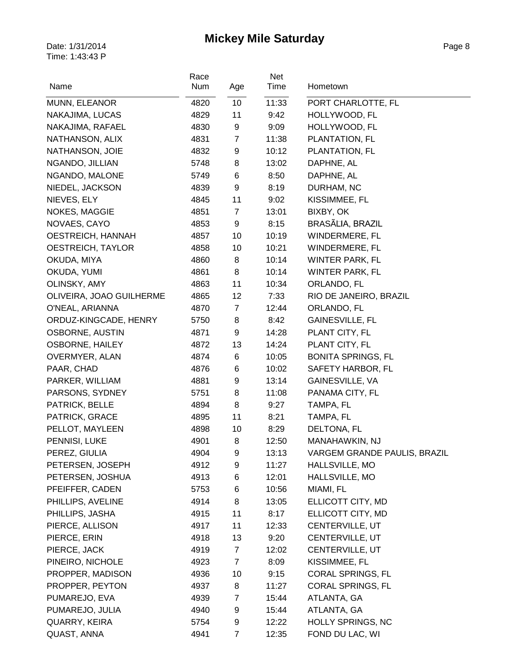| Name                     | Race<br>Num | Age              | Net<br>Time | Hometown                     |
|--------------------------|-------------|------------------|-------------|------------------------------|
| MUNN, ELEANOR            | 4820        | 10               | 11:33       | PORT CHARLOTTE, FL           |
| NAKAJIMA, LUCAS          | 4829        | 11               | 9:42        | HOLLYWOOD, FL                |
| NAKAJIMA, RAFAEL         | 4830        | 9                | 9:09        | HOLLYWOOD, FL                |
| NATHANSON, ALIX          | 4831        | $\overline{7}$   | 11:38       | PLANTATION, FL               |
| NATHANSON, JOIE          | 4832        | 9                | 10:12       | PLANTATION, FL               |
| NGANDO, JILLIAN          | 5748        | 8                | 13:02       | DAPHNE, AL                   |
| NGANDO, MALONE           | 5749        | 6                | 8:50        | DAPHNE, AL                   |
| NIEDEL, JACKSON          | 4839        | 9                | 8:19        | DURHAM, NC                   |
| NIEVES, ELY              | 4845        | 11               | 9:02        | KISSIMMEE, FL                |
| <b>NOKES, MAGGIE</b>     | 4851        | $\overline{7}$   | 13:01       | BIXBY, OK                    |
| NOVAES, CAYO             | 4853        | 9                | 8:15        | BRASÃLIA, BRAZIL             |
| OESTREICH, HANNAH        | 4857        | 10               | 10:19       | WINDERMERE, FL               |
| OESTREICH, TAYLOR        | 4858        | 10               | 10:21       | WINDERMERE, FL               |
| OKUDA, MIYA              | 4860        | 8                | 10:14       | WINTER PARK, FL              |
| OKUDA, YUMI              | 4861        | 8                | 10:14       | <b>WINTER PARK, FL</b>       |
| OLINSKY, AMY             | 4863        | 11               | 10:34       | ORLANDO, FL                  |
| OLIVEIRA, JOAO GUILHERME | 4865        | 12               | 7:33        | RIO DE JANEIRO, BRAZIL       |
| O'NEAL, ARIANNA          | 4870        | $\overline{7}$   | 12:44       | ORLANDO, FL                  |
| ORDUZ-KINGCADE, HENRY    | 5750        | 8                | 8:42        | <b>GAINESVILLE, FL</b>       |
| OSBORNE, AUSTIN          | 4871        | $\boldsymbol{9}$ | 14:28       | PLANT CITY, FL               |
| <b>OSBORNE, HAILEY</b>   | 4872        | 13               | 14:24       | PLANT CITY, FL               |
| OVERMYER, ALAN           | 4874        | 6                | 10:05       | <b>BONITA SPRINGS, FL</b>    |
| PAAR, CHAD               | 4876        | 6                | 10:02       | SAFETY HARBOR, FL            |
| PARKER, WILLIAM          | 4881        | 9                | 13:14       | GAINESVILLE, VA              |
| PARSONS, SYDNEY          | 5751        | 8                | 11:08       | PANAMA CITY, FL              |
| PATRICK, BELLE           | 4894        | 8                | 9:27        | TAMPA, FL                    |
| PATRICK, GRACE           | 4895        | 11               | 8:21        | TAMPA, FL                    |
| PELLOT, MAYLEEN          | 4898        | 10               | 8:29        | DELTONA, FL                  |
| PENNISI, LUKE            | 4901        | 8                | 12:50       | MANAHAWKIN, NJ               |
| PEREZ, GIULIA            | 4904        | 9                | 13:13       | VARGEM GRANDE PAULIS, BRAZIL |
| PETERSEN, JOSEPH         | 4912        | 9                | 11:27       | HALLSVILLE, MO               |
| PETERSEN, JOSHUA         | 4913        | 6                | 12:01       | HALLSVILLE, MO               |
| PFEIFFER, CADEN          | 5753        | 6                | 10:56       | MIAMI, FL                    |
| PHILLIPS, AVELINE        | 4914        | 8                | 13:05       | ELLICOTT CITY, MD            |
| PHILLIPS, JASHA          | 4915        | 11               | 8:17        | ELLICOTT CITY, MD            |
| PIERCE, ALLISON          | 4917        | 11               | 12:33       | CENTERVILLE, UT              |
| PIERCE, ERIN             | 4918        | 13               | 9:20        | CENTERVILLE, UT              |
| PIERCE, JACK             | 4919        | $\overline{7}$   | 12:02       | CENTERVILLE, UT              |
| PINEIRO, NICHOLE         | 4923        | $\overline{7}$   | 8:09        | KISSIMMEE, FL                |
| PROPPER, MADISON         | 4936        | 10               | 9:15        | <b>CORAL SPRINGS, FL</b>     |
| PROPPER, PEYTON          | 4937        | 8                | 11:27       | CORAL SPRINGS, FL            |
| PUMAREJO, EVA            | 4939        | 7                | 15:44       | ATLANTA, GA                  |
| PUMAREJO, JULIA          | 4940        | 9                | 15:44       | ATLANTA, GA                  |
| QUARRY, KEIRA            | 5754        | 9                | 12:22       | HOLLY SPRINGS, NC            |
| QUAST, ANNA              | 4941        | 7                | 12:35       | FOND DU LAC, WI              |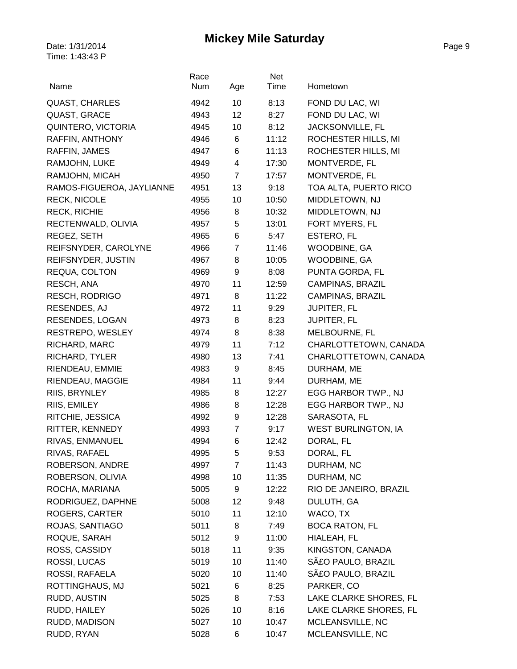| Name                      | Race<br>Num | Age            | Net<br>Time | Hometown                   |
|---------------------------|-------------|----------------|-------------|----------------------------|
| <b>QUAST, CHARLES</b>     | 4942        | 10             | 8:13        | FOND DU LAC, WI            |
| QUAST, GRACE              | 4943        | 12             | 8:27        | FOND DU LAC, WI            |
| QUINTERO, VICTORIA        | 4945        | 10             | 8:12        | JACKSONVILLE, FL           |
| RAFFIN, ANTHONY           | 4946        | 6              | 11:12       | ROCHESTER HILLS, MI        |
| RAFFIN, JAMES             | 4947        | 6              | 11:13       | ROCHESTER HILLS, MI        |
| RAMJOHN, LUKE             | 4949        | 4              | 17:30       | MONTVERDE, FL              |
| RAMJOHN, MICAH            | 4950        | $\overline{7}$ | 17:57       | MONTVERDE, FL              |
| RAMOS-FIGUEROA, JAYLIANNE | 4951        | 13             | 9:18        | TOA ALTA, PUERTO RICO      |
| <b>RECK, NICOLE</b>       | 4955        | 10             | 10:50       | MIDDLETOWN, NJ             |
| <b>RECK, RICHIE</b>       | 4956        | 8              | 10:32       | MIDDLETOWN, NJ             |
| RECTENWALD, OLIVIA        | 4957        | 5              | 13:01       | FORT MYERS, FL             |
| REGEZ, SETH               | 4965        | 6              | 5:47        | ESTERO, FL                 |
| REIFSNYDER, CAROLYNE      | 4966        | $\overline{7}$ | 11:46       | WOODBINE, GA               |
| REIFSNYDER, JUSTIN        | 4967        | 8              | 10:05       | WOODBINE, GA               |
| REQUA, COLTON             | 4969        | 9              | 8:08        | PUNTA GORDA, FL            |
| RESCH, ANA                | 4970        | 11             | 12:59       | CAMPINAS, BRAZIL           |
| <b>RESCH, RODRIGO</b>     | 4971        | 8              | 11:22       | <b>CAMPINAS, BRAZIL</b>    |
| RESENDES, AJ              | 4972        | 11             | 9:29        | <b>JUPITER, FL</b>         |
| RESENDES, LOGAN           | 4973        | 8              | 8:23        | <b>JUPITER, FL</b>         |
| RESTREPO, WESLEY          | 4974        | 8              | 8:38        | MELBOURNE, FL              |
| RICHARD, MARC             | 4979        | 11             | 7:12        | CHARLOTTETOWN, CANADA      |
| RICHARD, TYLER            | 4980        | 13             | 7:41        | CHARLOTTETOWN, CANADA      |
| RIENDEAU, EMMIE           | 4983        | 9              | 8:45        | DURHAM, ME                 |
| RIENDEAU, MAGGIE          | 4984        | 11             | 9:44        | DURHAM, ME                 |
| RIIS, BRYNLEY             | 4985        | 8              | 12:27       | EGG HARBOR TWP., NJ        |
| RIIS, EMILEY              | 4986        | 8              | 12:28       | EGG HARBOR TWP., NJ        |
| RITCHIE, JESSICA          | 4992        | 9              | 12:28       | SARASOTA, FL               |
| RITTER, KENNEDY           | 4993        | $\overline{7}$ | 9:17        | <b>WEST BURLINGTON, IA</b> |
| RIVAS, ENMANUEL           | 4994        | 6              | 12:42       | DORAL, FL                  |
| RIVAS, RAFAEL             | 4995        | 5              | 9:53        | DORAL, FL                  |
| ROBERSON, ANDRE           | 4997        | $\overline{7}$ | 11:43       | DURHAM, NC                 |
| ROBERSON, OLIVIA          | 4998        | 10             | 11:35       | DURHAM, NC                 |
| ROCHA, MARIANA            | 5005        | 9              | 12:22       | RIO DE JANEIRO, BRAZIL     |
| RODRIGUEZ, DAPHNE         | 5008        | 12             | 9:48        | DULUTH, GA                 |
| ROGERS, CARTER            | 5010        | 11             | 12:10       | WACO, TX                   |
| ROJAS, SANTIAGO           | 5011        | 8              | 7:49        | <b>BOCA RATON, FL</b>      |
| ROQUE, SARAH              | 5012        | 9              | 11:00       | HIALEAH, FL                |
| ROSS, CASSIDY             | 5018        | 11             | 9:35        | KINGSTON, CANADA           |
| ROSSI, LUCAS              | 5019        | 10             | 11:40       | SãO PAULO, BRAZIL          |
| ROSSI, RAFAELA            | 5020        | 10             | 11:40       | SãO PAULO, BRAZIL          |
| ROTTINGHAUS, MJ           | 5021        | 6              | 8:25        | PARKER, CO                 |
| RUDD, AUSTIN              | 5025        | 8              | 7:53        | LAKE CLARKE SHORES, FL     |
| RUDD, HAILEY              | 5026        | 10             | 8:16        | LAKE CLARKE SHORES, FL     |
| RUDD, MADISON             | 5027        | 10             | 10:47       | MCLEANSVILLE, NC           |
| RUDD, RYAN                | 5028        | 6              | 10:47       | MCLEANSVILLE, NC           |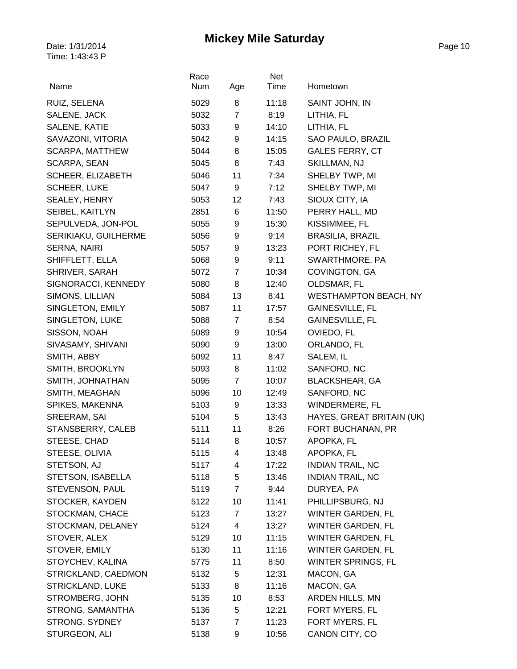| Name                    | Race<br>Num | Age            | Net<br>Time | Hometown                     |
|-------------------------|-------------|----------------|-------------|------------------------------|
| RUIZ, SELENA            | 5029        | 8              | 11:18       | SAINT JOHN, IN               |
| SALENE, JACK            | 5032        | $\overline{7}$ | 8:19        | LITHIA, FL                   |
| SALENE, KATIE           | 5033        | 9              | 14:10       | LITHIA, FL                   |
| SAVAZONI, VITORIA       | 5042        | 9              | 14:15       | SAO PAULO, BRAZIL            |
| SCARPA, MATTHEW         | 5044        | 8              | 15:05       | <b>GALES FERRY, CT</b>       |
| SCARPA, SEAN            | 5045        | 8              | 7:43        | <b>SKILLMAN, NJ</b>          |
| SCHEER, ELIZABETH       | 5046        | 11             | 7:34        | SHELBY TWP, MI               |
| <b>SCHEER, LUKE</b>     | 5047        | 9              | 7:12        | SHELBY TWP, MI               |
| SEALEY, HENRY           | 5053        | 12             | 7:43        | SIOUX CITY, IA               |
| SEIBEL, KAITLYN         | 2851        | 6              | 11:50       | PERRY HALL, MD               |
| SEPULVEDA, JON-POL      | 5055        | 9              | 15:30       | KISSIMMEE, FL                |
| SERIKIAKU, GUILHERME    | 5056        | 9              | 9:14        | <b>BRASILIA, BRAZIL</b>      |
| SERNA, NAIRI            | 5057        | 9              | 13:23       | PORT RICHEY, FL              |
| SHIFFLETT, ELLA         | 5068        | 9              | 9:11        | SWARTHMORE, PA               |
| SHRIVER, SARAH          | 5072        | $\overline{7}$ | 10:34       | COVINGTON, GA                |
| SIGNORACCI, KENNEDY     | 5080        | 8              | 12:40       | OLDSMAR, FL                  |
| SIMONS, LILLIAN         | 5084        | 13             | 8:41        | <b>WESTHAMPTON BEACH, NY</b> |
| SINGLETON, EMILY        | 5087        | 11             | 17:57       | <b>GAINESVILLE, FL</b>       |
| SINGLETON, LUKE         | 5088        | 7              | 8:54        | <b>GAINESVILLE, FL</b>       |
| SISSON, NOAH            | 5089        | 9              | 10:54       | OVIEDO, FL                   |
| SIVASAMY, SHIVANI       | 5090        | 9              | 13:00       | ORLANDO, FL                  |
| SMITH, ABBY             | 5092        | 11             | 8:47        | SALEM, IL                    |
| SMITH, BROOKLYN         | 5093        | 8              | 11:02       | SANFORD, NC                  |
| SMITH, JOHNATHAN        | 5095        | $\overline{7}$ | 10:07       | <b>BLACKSHEAR, GA</b>        |
| SMITH, MEAGHAN          | 5096        | 10             | 12:49       | SANFORD, NC                  |
| SPIKES, MAKENNA         | 5103        | 9              | 13:33       | WINDERMERE, FL               |
| SREERAM, SAI            | 5104        | 5              | 13:43       | HAYES, GREAT BRITAIN (UK)    |
| STANSBERRY, CALEB       | 5111        | 11             | 8:26        | FORT BUCHANAN, PR            |
| STEESE, CHAD            | 5114        | 8              | 10:57       | APOPKA, FL                   |
| STEESE, OLIVIA          | 5115        | 4              | 13:48       | APOPKA, FL                   |
| STETSON, AJ             | 5117        | 4              | 17:22       | <b>INDIAN TRAIL, NC</b>      |
| STETSON, ISABELLA       | 5118        | 5              | 13:46       | <b>INDIAN TRAIL, NC</b>      |
| STEVENSON, PAUL         | 5119        | $\overline{7}$ | 9:44        | DURYEA, PA                   |
| STOCKER, KAYDEN         | 5122        | 10             | 11:41       | PHILLIPSBURG, NJ             |
| STOCKMAN, CHACE         | 5123        | $\overline{7}$ | 13:27       | WINTER GARDEN, FL            |
| STOCKMAN, DELANEY       | 5124        | 4              | 13:27       | <b>WINTER GARDEN, FL</b>     |
| STOVER, ALEX            | 5129        | 10             | 11:15       | <b>WINTER GARDEN, FL</b>     |
| STOVER, EMILY           | 5130        | 11             | 11:16       | <b>WINTER GARDEN, FL</b>     |
| STOYCHEV, KALINA        | 5775        | 11             | 8:50        | WINTER SPRINGS, FL           |
| STRICKLAND, CAEDMON     | 5132        | 5              | 12:31       | MACON, GA                    |
| <b>STRICKLAND, LUKE</b> | 5133        | 8              | 11:16       | MACON, GA                    |
| STROMBERG, JOHN         | 5135        | 10             | 8:53        | ARDEN HILLS, MN              |
| STRONG, SAMANTHA        | 5136        | 5              | 12:21       | FORT MYERS, FL               |
| STRONG, SYDNEY          | 5137        | $\overline{7}$ | 11:23       | FORT MYERS, FL               |
| STURGEON, ALI           | 5138        | 9              | 10:56       | CANON CITY, CO               |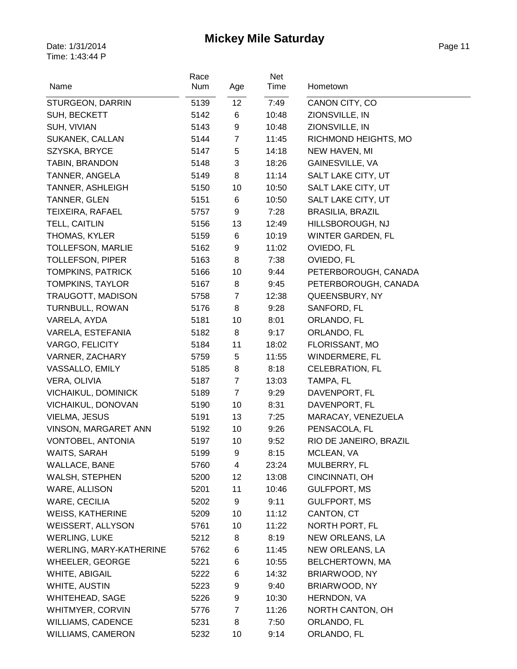| Name                           | Race<br>Num | Age            | Net<br>Time | Hometown                                     |
|--------------------------------|-------------|----------------|-------------|----------------------------------------------|
| STURGEON, DARRIN               | 5139        | 12             | 7:49        | CANON CITY, CO                               |
| SUH, BECKETT                   | 5142        | 6              | 10:48       | ZIONSVILLE, IN                               |
| SUH, VIVIAN                    | 5143        | 9              | 10:48       | ZIONSVILLE, IN                               |
| SUKANEK, CALLAN                | 5144        | $\overline{7}$ | 11:45       | RICHMOND HEIGHTS, MO                         |
| SZYSKA, BRYCE                  | 5147        | 5              | 14:18       | NEW HAVEN, MI                                |
| TABIN, BRANDON                 | 5148        | 3              | 18:26       | GAINESVILLE, VA                              |
| TANNER, ANGELA                 |             | 8              | 11:14       | SALT LAKE CITY, UT                           |
|                                | 5149        | 10             |             | SALT LAKE CITY, UT                           |
| TANNER, ASHLEIGH               | 5150        | 6              | 10:50       | SALT LAKE CITY, UT                           |
| TANNER, GLEN                   | 5151        | 9              | 10:50       |                                              |
| TEIXEIRA, RAFAEL               | 5757        | 13             | 7:28        | <b>BRASILIA, BRAZIL</b>                      |
| TELL, CAITLIN<br>THOMAS, KYLER | 5156        |                | 12:49       | HILLSBOROUGH, NJ<br><b>WINTER GARDEN, FL</b> |
|                                | 5159        | 6<br>9         | 10:19       |                                              |
| TOLLEFSON, MARLIE              | 5162        |                | 11:02       | OVIEDO, FL                                   |
| <b>TOLLEFSON, PIPER</b>        | 5163        | 8              | 7:38        | OVIEDO, FL                                   |
| <b>TOMPKINS, PATRICK</b>       | 5166        | 10             | 9:44        | PETERBOROUGH, CANADA                         |
| <b>TOMPKINS, TAYLOR</b>        | 5167        | 8              | 9:45        | PETERBOROUGH, CANADA                         |
| TRAUGOTT, MADISON              | 5758        | $\overline{7}$ | 12:38       | QUEENSBURY, NY                               |
| TURNBULL, ROWAN                | 5176        | 8              | 9:28        | SANFORD, FL                                  |
| VARELA, AYDA                   | 5181        | 10             | 8:01        | ORLANDO, FL                                  |
| VARELA, ESTEFANIA              | 5182        | 8              | 9:17        | ORLANDO, FL                                  |
| <b>VARGO, FELICITY</b>         | 5184        | 11             | 18:02       | FLORISSANT, MO                               |
| VARNER, ZACHARY                | 5759        | $\sqrt{5}$     | 11:55       | WINDERMERE, FL                               |
| VASSALLO, EMILY                | 5185        | 8              | 8:18        | <b>CELEBRATION, FL</b>                       |
| VERA, OLIVIA                   | 5187        | $\overline{7}$ | 13:03       | TAMPA, FL                                    |
| VICHAIKUL, DOMINICK            | 5189        | $\overline{7}$ | 9:29        | DAVENPORT, FL                                |
| VICHAIKUL, DONOVAN             | 5190        | 10             | 8:31        | DAVENPORT, FL                                |
| VIELMA, JESUS                  | 5191        | 13             | 7:25        | MARACAY, VENEZUELA                           |
| VINSON, MARGARET ANN           | 5192        | 10             | 9:26        | PENSACOLA, FL                                |
| VONTOBEL, ANTONIA              | 5197        | 10             | 9:52        | RIO DE JANEIRO, BRAZIL                       |
| WAITS, SARAH                   | 5199        | 9              | 8:15        | MCLEAN, VA                                   |
| WALLACE, BANE                  | 5760        | 4              | 23:24       | MULBERRY, FL                                 |
| WALSH, STEPHEN                 | 5200        | 12             | 13:08       | CINCINNATI, OH                               |
| WARE, ALLISON                  | 5201        | 11             | 10:46       | <b>GULFPORT, MS</b>                          |
| WARE, CECILIA                  | 5202        | 9              | 9:11        | <b>GULFPORT, MS</b>                          |
| <b>WEISS, KATHERINE</b>        | 5209        | 10             | 11:12       | CANTON, CT                                   |
| <b>WEISSERT, ALLYSON</b>       | 5761        | 10             | 11:22       | NORTH PORT, FL                               |
| <b>WERLING, LUKE</b>           | 5212        | 8              | 8:19        | NEW ORLEANS, LA                              |
| WERLING, MARY-KATHERINE        | 5762        | 6              | 11:45       | NEW ORLEANS, LA                              |
| WHEELER, GEORGE                | 5221        | 6              | 10:55       | BELCHERTOWN, MA                              |
| WHITE, ABIGAIL                 | 5222        | 6              | 14:32       | BRIARWOOD, NY                                |
| WHITE, AUSTIN                  | 5223        | 9              | 9:40        | BRIARWOOD, NY                                |
| WHITEHEAD, SAGE                | 5226        | 9              | 10:30       | HERNDON, VA                                  |
| WHITMYER, CORVIN               | 5776        | $\overline{7}$ | 11:26       | NORTH CANTON, OH                             |
| <b>WILLIAMS, CADENCE</b>       | 5231        | 8              | 7:50        | ORLANDO, FL                                  |
| <b>WILLIAMS, CAMERON</b>       | 5232        | 10             | 9:14        | ORLANDO, FL                                  |